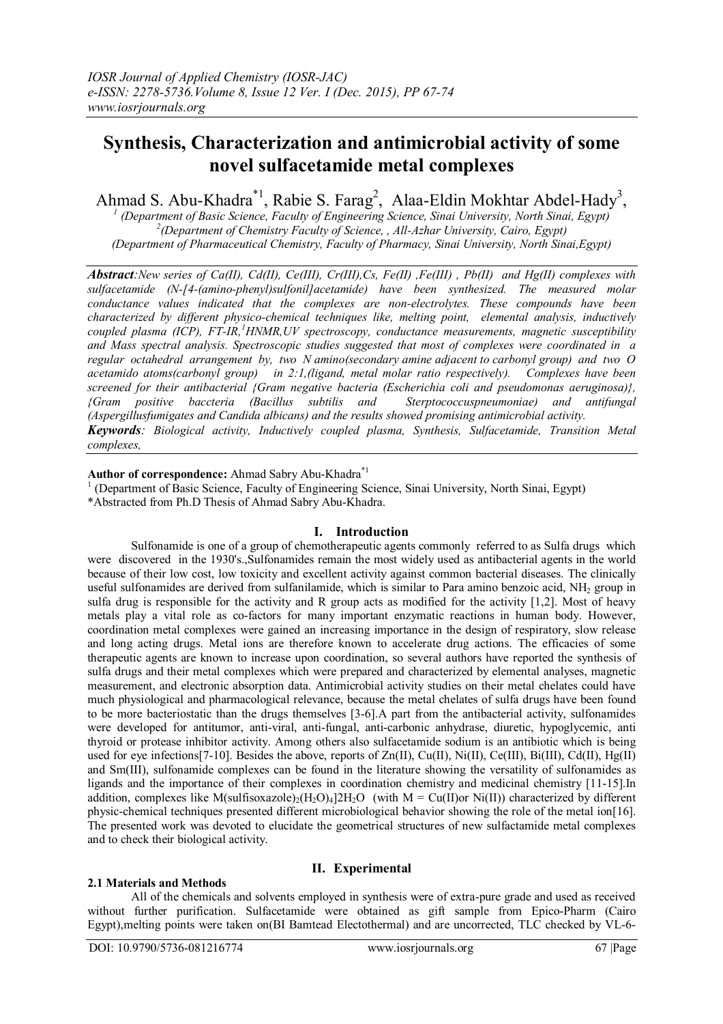# **Synthesis, Characterization and antimicrobial activity of some novel sulfacetamide metal complexes**

Ahmad S. Abu-Khadra<sup>\*1</sup>, Rabie S. Farag<sup>2</sup>, Alaa-Eldin Mokhtar Abdel-Hady<sup>3</sup>,

*1 (Department of Basic Science, Faculty of Engineering Science, Sinai University, North Sinai, Egypt) 2 (Department of Chemistry Faculty of Science, , All-Azhar University, Cairo, Egypt) (Department of Pharmaceutical Chemistry, Faculty of Pharmacy, Sinai University, North Sinai,Egypt)*

*Abstract:New series of Ca(II), Cd(II), Ce(III), Cr(III),Cs, Fe(II) ,Fe(III) , Pb(II) and Hg(II) complexes with sulfacetamide (N-[4-(amino-phenyl)sulfonil]acetamide) have been synthesized. The measured molar conductance values indicated that the complexes are non-electrolytes. These compounds have been characterized by different physico-chemical techniques like, melting point, elemental analysis, inductively coupled plasma (ICP), FT-IR, <sup>1</sup>HNMR,UV spectroscopy, conductance measurements, magnetic susceptibility and Mass spectral analysis. Spectroscopic studies suggested that most of complexes were coordinated in a regular octahedral arrangement by, two N amino(secondary amine adjacent to carbonyl group) and two O acetamido atoms(carbonyl group) in 2:1,(ligand, metal molar ratio respectively). Complexes have been screened for their antibacterial {Gram negative bacteria (Escherichia coli and pseudomonas aeruginosa)}, {Gram positive baccteria (Bacillus subtilis and Sterptococcuspneumoniae) and antifungal (Aspergillusfumigates and Candida albicans) and the results showed promising antimicrobial activity. Keywords: Biological activity, Inductively coupled plasma, Synthesis, Sulfacetamide, Transition Metal complexes,*

### **Author of correspondence:** Ahmad Sabry Abu-Khadra\*1

- <sup>1</sup> (Department of Basic Science, Faculty of Engineering Science, Sinai University, North Sinai, Egypt)
- \*Abstracted from Ph.D Thesis of Ahmad Sabry Abu-Khadra.

### **I. Introduction**

Sulfonamide is one of a group of chemotherapeutic agents commonly referred to as Sulfa drugs which were discovered in the 1930's.,Sulfonamides remain the most widely used as antibacterial agents in the world because of their low cost, low toxicity and excellent activity against common bacterial diseases. The clinically useful sulfonamides are derived from sulfanilamide, which is similar to Para amino benzoic acid, NH<sub>2</sub> group in sulfa drug is responsible for the activity and R group acts as modified for the activity [1,2]. Most of heavy metals play a vital role as co-factors for many important enzymatic reactions in human body. However, coordination metal complexes were gained an increasing importance in the design of respiratory, slow release and long acting drugs. Metal ions are therefore known to accelerate drug actions. The efficacies of some therapeutic agents are known to increase upon coordination, so several authors have reported the synthesis of sulfa drugs and their metal complexes which were prepared and characterized by elemental analyses, magnetic measurement, and electronic absorption data. Antimicrobial activity studies on their metal chelates could have much physiological and pharmacological relevance, because the metal chelates of sulfa drugs have been found to be more bacteriostatic than the drugs themselves [3-6].A part from the antibacterial activity, sulfonamides were developed for antitumor, anti-viral, anti-fungal, anti-carbonic anhydrase, diuretic, hypoglycemic, anti thyroid or protease inhibitor activity. Among others also sulfacetamide sodium is an antibiotic which is being used for eye infections [7-10]. Besides the above, reports of  $Zn(II)$ ,  $Cu(II)$ ,  $Ni(II)$ ,  $Ce(III)$ ,  $Bi(III)$ ,  $Cd(II)$ ,  $Hg(II)$ and Sm(III), sulfonamide complexes can be found in the literature showing the versatility of sulfonamides as ligands and the importance of their complexes in coordination chemistry and medicinal chemistry [11-15].In addition, complexes like M(sulfisoxazole)<sub>2</sub>(H<sub>2</sub>O)<sub>4</sub>]2H<sub>2</sub>O (with M = Cu(II)or Ni(II)) characterized by different physic-chemical techniques presented different microbiological behavior showing the role of the metal ion[16]. The presented work was devoted to elucidate the geometrical structures of new sulfactamide metal complexes and to check their biological activity.

### **II. Experimental**

**2.1 Materials and Methods**  All of the chemicals and solvents employed in synthesis were of extra-pure grade and used as received without further purification. Sulfacetamide were obtained as gift sample from Epico-Pharm (Cairo Egypt),melting points were taken on(BI Bamtead Electothermal) and are uncorrected, TLC checked by VL-6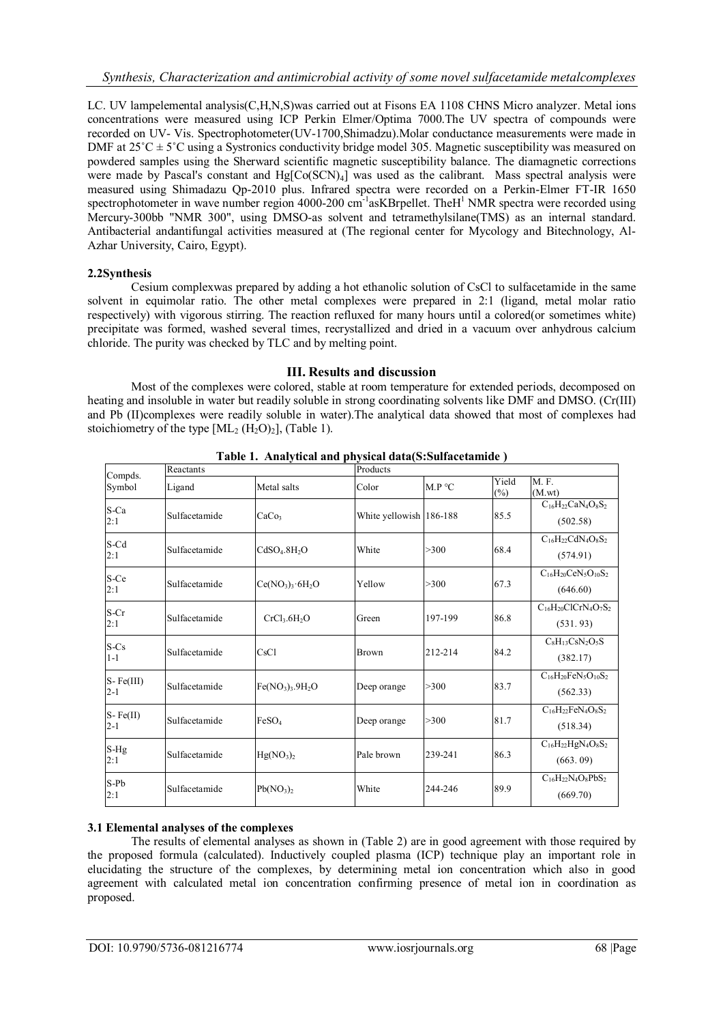LC. UV lampelemental analysis(C,H,N,S)was carried out at Fisons EA 1108 CHNS Micro analyzer. Metal ions concentrations were measured using ICP Perkin Elmer/Optima 7000.The UV spectra of compounds were recorded on UV- Vis. Spectrophotometer(UV-1700,Shimadzu).Molar conductance measurements were made in DMF at  $25^{\circ}$ C  $\pm$  5°C using a Systronics conductivity bridge model 305. Magnetic susceptibility was measured on powdered samples using the Sherward scientific magnetic susceptibility balance. The diamagnetic corrections were made by Pascal's constant and Hg[Co(SCN)<sub>4</sub>] was used as the calibrant. Mass spectral analysis were measured using Shimadazu Qp-2010 plus. Infrared spectra were recorded on a Perkin-Elmer FT-IR 1650 spectrophotometer in wave number region 4000-200 cm<sup>-1</sup>asKBrpellet. TheH<sup>1</sup> NMR spectra were recorded using Mercury-300bb "NMR 300", using DMSO-as solvent and tetramethylsilane(TMS) as an internal standard. Antibacterial andantifungal activities measured at (The regional center for Mycology and Bitechnology, Al-Azhar University, Cairo, Egypt).

# **2.2Synthesis**

Cesium complexwas prepared by adding a hot ethanolic solution of CsCl to sulfacetamide in the same solvent in equimolar ratio. The other metal complexes were prepared in 2:1 (ligand, metal molar ratio respectively) with vigorous stirring. The reaction refluxed for many hours until a colored(or sometimes white) precipitate was formed, washed several times, recrystallized and dried in a vacuum over anhydrous calcium chloride. The purity was checked by TLC and by melting point.

# **III. Results and discussion**

Most of the complexes were colored, stable at room temperature for extended periods, decomposed on heating and insoluble in water but readily soluble in strong coordinating solvents like DMF and DMSO. (Cr(III) and Pb (II)complexes were readily soluble in water).The analytical data showed that most of complexes had stoichiometry of the type  $[ML_2 (H_2O)_2]$ , (Table 1).

|                        | Reactants     |                                      | Products                |         |                 |                                          |  |
|------------------------|---------------|--------------------------------------|-------------------------|---------|-----------------|------------------------------------------|--|
| Compds.<br>Symbol      | Ligand        | Metal salts                          | Color                   | M.P °C  | Yield<br>$(\%)$ | M.F.<br>(M.wt)                           |  |
| S-Ca<br>2:1            | Sulfacetamide | CaCo <sub>3</sub>                    | White yellowish 186-188 |         | 85.5            | $C_{16}H_{22}CaN_4O_8S_2$<br>(502.58)    |  |
| S-Cd<br>2:1            | Sulfacetamide | CdSO <sub>4</sub> .8H <sub>2</sub> O | White                   | >300    | 68.4            | $C_{16}H_{22}CdN_4O_8S_2$<br>(574.91)    |  |
| S-Ce<br>2:1            | Sulfacetamide | $Ce(NO_3)$ <sub>3</sub> $·6H_2O$     | Yellow                  | >300    | 67.3            | $C_{16}H_{20}CeN_5O_{10}S_2$<br>(646.60) |  |
| S-Cr<br>2:1            | Sulfacetamide | CrCl <sub>3</sub> .6H <sub>2</sub> O | Green                   | 197-199 | 86.8            | $C_{16}H_{20}ClCrN_4O_7S_2$<br>(531.93)  |  |
| $S-Cs$<br>$1 - 1$      | Sulfacetamide | CsCl                                 | <b>Brown</b>            | 212-214 | 84.2            | $C_8H_{13}CsN_2O_5S$<br>(382.17)         |  |
| $S-Fe(III)$<br>$2 - 1$ | Sulfacetamide | $Fe(NO3)3$ .9H <sub>2</sub> O        | Deep orange             | >300    | 83.7            | $C_{16}H_{20}FeN_5O_{10}S_2$<br>(562.33) |  |
| S-Fe(II)<br>$2 - 1$    | Sulfacetamide | FeSO <sub>4</sub>                    | Deep orange             | >300    | 81.7            | $C_{16}H_{22}FeN_4O_8S_2$<br>(518.34)    |  |
| $S-Hg$<br>2:1          | Sulfacetamide | Hg(NO <sub>3</sub> ) <sub>2</sub>    | Pale brown              | 239-241 | 86.3            | $C_{16}H_{22}HgN_4O_8S_2$<br>(663.09)    |  |
| $S-Pb$<br>2:1          | Sulfacetamide | $Pb(NO_3)_2$                         | White                   | 244-246 | 89.9            | $C_{16}H_{22}N_4O_8PbS_2$<br>(669.70)    |  |

**Table 1. Analytical and physical data(S:Sulfacetamide )**

### **3.1 Elemental analyses of the complexes**

The results of elemental analyses as shown in (Table 2) are in good agreement with those required by the proposed formula (calculated). Inductively coupled plasma (ICP) technique play an important role in elucidating the structure of the complexes, by determining metal ion concentration which also in good agreement with calculated metal ion concentration confirming presence of metal ion in coordination as proposed.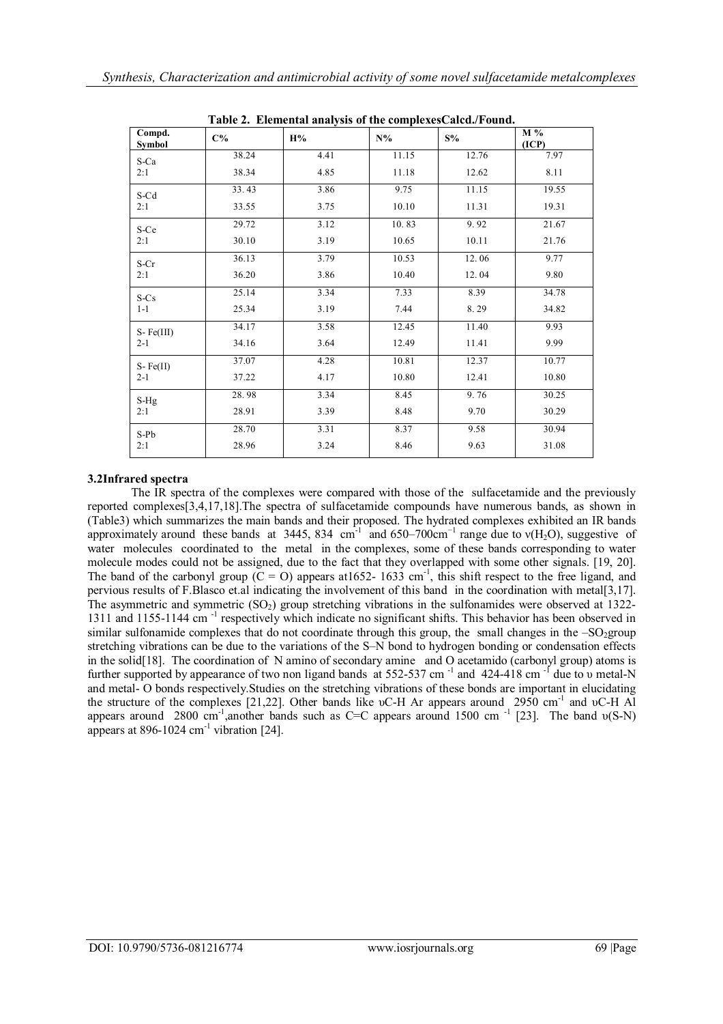| <b>Table 2. Elemental analysis of the complexes Calca./Found.</b> |       |      |       |       |              |  |  |  |
|-------------------------------------------------------------------|-------|------|-------|-------|--------------|--|--|--|
| Compd.<br><b>Symbol</b>                                           | $C\%$ | H%   | $N\%$ | $S\%$ | M %<br>(ICP) |  |  |  |
| S-Ca                                                              | 38.24 | 4.41 | 11.15 | 12.76 | 7.97         |  |  |  |
| 2:1                                                               | 38.34 | 4.85 | 11.18 | 12.62 | 8.11         |  |  |  |
| S-Cd                                                              | 33.43 | 3.86 | 9.75  | 11.15 | 19.55        |  |  |  |
| 2:1                                                               | 33.55 | 3.75 | 10.10 | 11.31 | 19.31        |  |  |  |
| S-Ce                                                              | 29.72 | 3.12 | 10.83 | 9.92  | 21.67        |  |  |  |
| 2:1                                                               | 30.10 | 3.19 | 10.65 | 10.11 | 21.76        |  |  |  |
| S-Cr                                                              | 36.13 | 3.79 | 10.53 | 12.06 | 9.77         |  |  |  |
| 2:1                                                               | 36.20 | 3.86 | 10.40 | 12.04 | 9.80         |  |  |  |
| $S-Cs$                                                            | 25.14 | 3.34 | 7.33  | 8.39  | 34.78        |  |  |  |
| $1 - 1$                                                           | 25.34 | 3.19 | 7.44  | 8.29  | 34.82        |  |  |  |
| $S-Fe(III)$                                                       | 34.17 | 3.58 | 12.45 | 11.40 | 9.93         |  |  |  |
| $2 - 1$                                                           | 34.16 | 3.64 | 12.49 | 11.41 | 9.99         |  |  |  |
| $S-Fe(II)$                                                        | 37.07 | 4.28 | 10.81 | 12.37 | 10.77        |  |  |  |
| $2 - 1$                                                           | 37.22 | 4.17 | 10.80 | 12.41 | 10.80        |  |  |  |
| S-Hg                                                              | 28.98 | 3.34 | 8.45  | 9.76  | 30.25        |  |  |  |
| 2:1                                                               | 28.91 | 3.39 | 8.48  | 9.70  | 30.29        |  |  |  |
| S-Pb                                                              | 28.70 | 3.31 | 8.37  | 9.58  | 30.94        |  |  |  |
| 2:1                                                               | 28.96 | 3.24 | 8.46  | 9.63  | 31.08        |  |  |  |

**Table 2. Elemental analysis of the complexesCalcd./Found.**

# **3.2Infrared spectra**

The IR spectra of the complexes were compared with those of the sulfacetamide and the previously reported complexes[3,4,17,18].The spectra of sulfacetamide compounds have numerous bands, as shown in (Table3) which summarizes the main bands and their proposed. The hydrated complexes exhibited an IR bands approximately around these bands at 3445, 834 cm<sup>-1</sup> and 650–700cm<sup>-1</sup> range due to  $v(H_2O)$ , suggestive of water molecules coordinated to the metal in the complexes, some of these bands corresponding to water molecule modes could not be assigned, due to the fact that they overlapped with some other signals. [19, 20]. The band of the carbonyl group  $(C = O)$  appears at 1652-1633 cm<sup>-1</sup>, this shift respect to the free ligand, and pervious results of F.Blasco et.al indicating the involvement of this band in the coordination with metal[3,17]. The asymmetric and symmetric  $(SO<sub>2</sub>)$  group stretching vibrations in the sulfonamides were observed at 1322-1311 and 1155-1144 cm<sup>-1</sup> respectively which indicate no significant shifts. This behavior has been observed in similar sulfonamide complexes that do not coordinate through this group, the small changes in the  $-SO_2$ group stretching vibrations can be due to the variations of the S–N bond to hydrogen bonding or condensation effects in the solid[18]. The coordination of N amino of secondary amine and O acetamido (carbonyl group) atoms is further supported by appearance of two non ligand bands at 552-537 cm<sup>-1</sup> and 424-418 cm<sup>-1</sup> due to v metal-N and metal- O bonds respectively.Studies on the stretching vibrations of these bonds are important in elucidating the structure of the complexes [21,22]. Other bands like υC-H Ar appears around 2950 cm<sup>-1</sup> and υC-H Al appears around 2800 cm<sup>-1</sup>,another bands such as C=C appears around 1500 cm<sup>-1</sup> [23]. The band  $v(S-N)$ appears at 896-1024  $\text{cm}^{-1}$  vibration [24].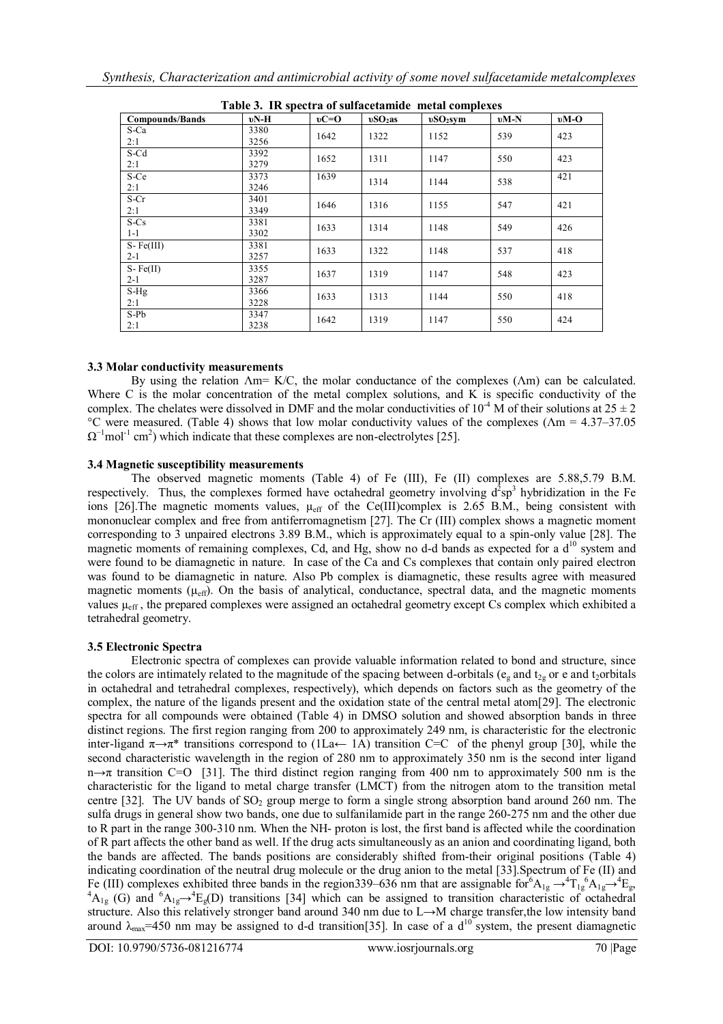| Table 3. IR spectra of sulfacetamide metal complexes |        |        |           |            |        |        |  |  |
|------------------------------------------------------|--------|--------|-----------|------------|--------|--------|--|--|
| <b>Compounds/Bands</b>                               | $vN-H$ | $vC=O$ | $vSO2$ as | $vSO2$ svm | $vM-N$ | $vM-O$ |  |  |
| S-Ca                                                 | 3380   | 1642   | 1322      | 1152       | 539    | 423    |  |  |
| 2:1                                                  | 3256   |        |           |            |        |        |  |  |
| S-Cd                                                 | 3392   | 1652   | 1311      | 1147       | 550    | 423    |  |  |
| 2:1                                                  | 3279   |        |           |            |        |        |  |  |
| S-Ce                                                 | 3373   | 1639   | 1314      | 1144       | 538    | 421    |  |  |
| 2:1                                                  | 3246   |        |           |            |        |        |  |  |
| S-Cr                                                 | 3401   | 1646   | 1316      | 1155       | 547    | 421    |  |  |
| 2:1                                                  | 3349   |        |           |            |        |        |  |  |
| S-Cs                                                 | 3381   | 1633   | 1314      | 1148       | 549    | 426    |  |  |
| $1 - 1$                                              | 3302   |        |           |            |        |        |  |  |
| $S-Fe(III)$                                          | 3381   | 1633   | 1322      | 1148       | 537    | 418    |  |  |
| $2 - 1$                                              | 3257   |        |           |            |        |        |  |  |
| $S-Fe(II)$                                           | 3355   | 1637   | 1319      | 1147       | 548    | 423    |  |  |
| $2 - 1$                                              | 3287   |        |           |            |        |        |  |  |
| $S-Hg$                                               | 3366   | 1633   | 1313      | 1144       | 550    | 418    |  |  |
| 2:1                                                  | 3228   |        |           |            |        |        |  |  |
| S-Pb                                                 | 3347   | 1642   | 1319      | 1147       | 550    | 424    |  |  |
| 2:1                                                  | 3238   |        |           |            |        |        |  |  |

| Table 3. IR spectra of sulfacetamide metal complexes |  |  |  |  |  |
|------------------------------------------------------|--|--|--|--|--|
|------------------------------------------------------|--|--|--|--|--|

### **3.3 Molar conductivity measurements**

By using the relation  $\Lambda$ m= K/C, the molar conductance of the complexes ( $\Lambda$ m) can be calculated. Where C is the molar concentration of the metal complex solutions, and K is specific conductivity of the complex. The chelates were dissolved in DMF and the molar conductivities of  $10^{-4}$  M of their solutions at  $25 \pm 2$ °C were measured. (Table 4) shows that low molar conductivity values of the complexes (Λm = 4.37–37.05  $\Omega^{-1}$ mol<sup>-1</sup> cm<sup>2</sup>) which indicate that these complexes are non-electrolytes [25].

#### **3.4 Magnetic susceptibility measurements**

The observed magnetic moments (Table 4) of Fe (III), Fe (II) complexes are 5.88,5.79 B.M. respectively. Thus, the complexes formed have octahedral geometry involving  $d^2sp^3$  hybridization in the Fe ions [26]. The magnetic moments values,  $\mu_{eff}$  of the Ce(III)complex is 2.65 B.M., being consistent with mononuclear complex and free from antiferromagnetism [27]. The Cr (III) complex shows a magnetic moment corresponding to 3 unpaired electrons 3.89 B.M., which is approximately equal to a spin-only value [28]. The magnetic moments of remaining complexes, Cd, and Hg, show no d-d bands as expected for a  $d^{10}$  system and were found to be diamagnetic in nature. In case of the Ca and Cs complexes that contain only paired electron was found to be diamagnetic in nature. Also Pb complex is diamagnetic, these results agree with measured magnetic moments  $(\mu_{eff})$ . On the basis of analytical, conductance, spectral data, and the magnetic moments values  $\mu_{eff}$ , the prepared complexes were assigned an octahedral geometry except Cs complex which exhibited a tetrahedral geometry.

### **3.5 Electronic Spectra**

Electronic spectra of complexes can provide valuable information related to bond and structure, since the colors are intimately related to the magnitude of the spacing between d-orbitals ( $e_g$  and  $t_{2g}$  or e and t<sub>2</sub>orbitals in octahedral and tetrahedral complexes, respectively), which depends on factors such as the geometry of the complex, the nature of the ligands present and the oxidation state of the central metal atom[29]. The electronic spectra for all compounds were obtained (Table 4) in DMSO solution and showed absorption bands in three distinct regions. The first region ranging from 200 to approximately 249 nm, is characteristic for the electronic inter-ligand  $\pi \rightarrow \pi^*$  transitions correspond to (1La← 1A) transition C=C of the phenyl group [30], while the second characteristic wavelength in the region of 280 nm to approximately 350 nm is the second inter ligand n→π transition C=O [31]. The third distinct region ranging from 400 nm to approximately 500 nm is the characteristic for the ligand to metal charge transfer (LMCT) from the nitrogen atom to the transition metal centre [32]. The UV bands of  $SO<sub>2</sub>$  group merge to form a single strong absorption band around 260 nm. The sulfa drugs in general show two bands, one due to sulfanilamide part in the range 260-275 nm and the other due to R part in the range 300-310 nm. When the NH- proton is lost, the first band is affected while the coordination of R part affects the other band as well. If the drug acts simultaneously as an anion and coordinating ligand, both the bands are affected. The bands positions are considerably shifted from-their original positions (Table 4) indicating coordination of the neutral drug molecule or the drug anion to the metal [33].Spectrum of Fe (II) and Fe (III) complexes exhibited three bands in the region339–636 nm that are assignable for  $^{6}A_{1g} \rightarrow ^{4}T_{1g}^{6}A_{1g} \rightarrow ^{4}E_{g}$ ,  ${}^{4}A_{1g}$  (G) and  ${}^{6}A_{1g} \rightarrow {}^{4}E_{g}$ (D) transitions [34] which can be assigned to transition characteristic of octahedral structure. Also this relatively stronger band around 340 nm due to L→M charge transfer,the low intensity band around  $\lambda_{\text{max}}$ =450 nm may be assigned to d-d transition[35]. In case of a d<sup>10</sup> system, the present diamagnetic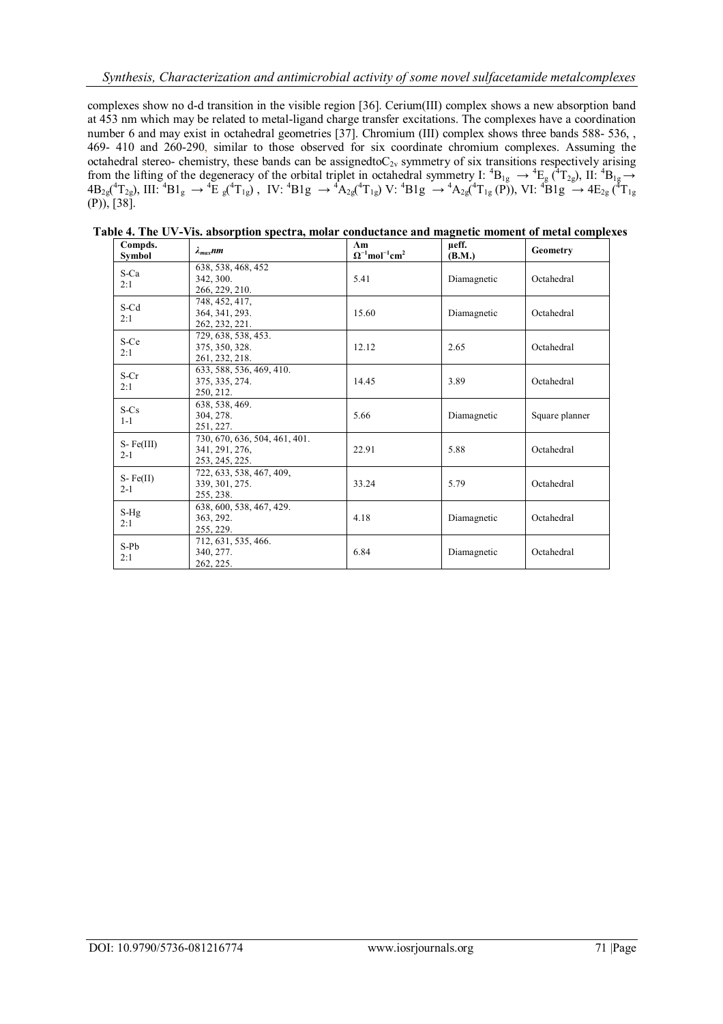complexes show no d-d transition in the visible region [36]. Cerium(III) complex shows a new absorption band at 453 nm which may be related to metal-ligand charge transfer excitations. The complexes have a coordination number 6 and may exist in octahedral geometries [37]. Chromium (III) complex shows three bands 588- 536, , 469- 410 and 260-290, similar to those observed for six coordinate chromium complexes. Assuming the octahedral stereo- chemistry, these bands can be assignedto $C_{2v}$  symmetry of six transitions respectively arising from the lifting of the degeneracy of the orbital triplet in octahedral symmetry I:  ${}^{4}B_{1g} \rightarrow {}^{4}E_{g}$  ( ${}^{4}T_{2g}$ ), II:  ${}^{4}B_{1g} \rightarrow$  $4B_{2g}({}^{4}T_{2g})$ , III:  ${}^{4}B1_{g} \rightarrow {}^{4}\text{E}_{g}({}^{4}T_{1g})$ , IV:  ${}^{4}B1g \rightarrow {}^{4}A_{2g}({}^{4}T_{1g})$ V:  ${}^{4}B1g \rightarrow {}^{4}A_{2g}({}^{4}T_{1g}$ (P)), VI:  ${}^{4}B1g \rightarrow {}^{4}E_{2g}({}^{4}T_{1g}$  $(P)$ ), [38].

| Compds.<br>Symbol      | $\lambda_{max}$ nm                                                | Am<br>$\Omega^{-1}$ mol <sup>-1</sup> cm <sup>2</sup> | µeff.<br>(B.M.) | Geometry       |
|------------------------|-------------------------------------------------------------------|-------------------------------------------------------|-----------------|----------------|
| S-Ca<br>2:1            | 638, 538, 468, 452<br>342, 300.<br>266, 229, 210.                 | 5.41                                                  | Diamagnetic     | Octahedral     |
| S-Cd<br>2:1            | 748, 452, 417,<br>364, 341, 293.<br>262, 232, 221.                | 15.60                                                 | Diamagnetic     | Octahedral     |
| S-Ce<br>2:1            | 729, 638, 538, 453.<br>375, 350, 328.<br>261, 232, 218.           | 12.12                                                 | 2.65            | Octahedral     |
| S-Cr<br>2:1            | 633, 588, 536, 469, 410.<br>375, 335, 274.<br>250, 212.           | 14.45                                                 | 3.89            | Octahedral     |
| $S-Cs$<br>$1 - 1$      | 638, 538, 469.<br>304, 278.<br>251, 227.                          | 5.66                                                  | Diamagnetic     | Square planner |
| $S-Fe(III)$<br>$2 - 1$ | 730, 670, 636, 504, 461, 401.<br>341, 291, 276,<br>253, 245, 225. | 22.91                                                 | 5.88            | Octahedral     |
| $S-Fe(II)$<br>$2 - 1$  | 722, 633, 538, 467, 409,<br>339, 301, 275.<br>255, 238.           | 33.24                                                 | 5.79            | Octahedral     |
| $S-Hg$<br>2:1          | 638, 600, 538, 467, 429.<br>363, 292.<br>255, 229.                | 4.18                                                  | Diamagnetic     | Octahedral     |
| S-Pb<br>2:1            | 712, 631, 535, 466.<br>340, 277.<br>262, 225.                     | 6.84                                                  | Diamagnetic     | Octahedral     |

 **Table 4. The UV-Vis. absorption spectra, molar conductance and magnetic moment of metal complexes**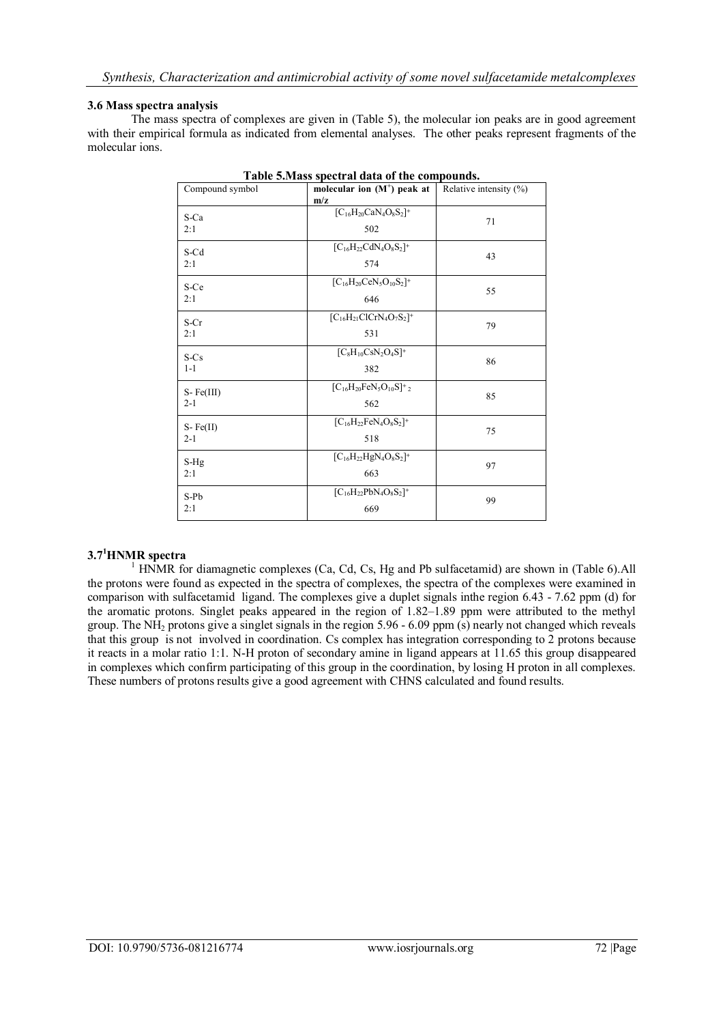#### **3.6 Mass spectra analysis**

The mass spectra of complexes are given in (Table 5), the molecular ion peaks are in good agreement with their empirical formula as indicated from elemental analyses. The other peaks represent fragments of the molecular ions.

| Compound symbol        | molecular ion $(M^+)$ peak at<br>m/z               | Relative intensity $(\% )$ |
|------------------------|----------------------------------------------------|----------------------------|
| S-Ca<br>2:1            | $[C_{16}H_{20}CaN_4O_8S_2]^+$<br>502               | 71                         |
| S-Cd<br>2:1            | $[C_{16}H_{22}CdN_4O_8S_2]^+$<br>574               | 43                         |
| S-Ce<br>2:1            | $[C_{16}H_{20}CeN_5O_{10}S_2]^+$<br>646            | 55                         |
| S-Cr<br>2:1            | $[C_{16}H_{21}ClCrN_4O_7S_2]^+$<br>531             | 79                         |
| S-Cs<br>$1 - 1$        | $[C_8H_{10}CsN_2O_4S]^+$<br>382                    | 86                         |
| $S-Fe(III)$<br>$2 - 1$ | $[C_{16}H_{20}FeN_5O_{10}S]^+$ <sub>2</sub><br>562 | 85                         |
| $S-Fe(II)$<br>$2 - 1$  | $[C_{16}H_{22}FeN_4O_8S_2]^+$<br>518               | 75                         |
| S-Hg<br>2:1            | $[C_{16}H_{22}HgN_4O_8S_2]^+$<br>663               | 97                         |
| S-Pb<br>2:1            | $[C_{16}H_{22}PbN_4O_8S_2]^+$<br>669               | 99                         |

| Table 5. Mass spectral data of the compounds. |
|-----------------------------------------------|
|-----------------------------------------------|

# **3.7 <sup>1</sup>HNMR spectra**

<sup>1</sup> HNMR for diamagnetic complexes (Ca, Cd, Cs, Hg and Pb sulfacetamid) are shown in (Table 6).All the protons were found as expected in the spectra of complexes, the spectra of the complexes were examined in comparison with sulfacetamid ligand. The complexes give a duplet signals inthe region 6.43 - 7.62 ppm (d) for the aromatic protons. Singlet peaks appeared in the region of 1.82–1.89 ppm were attributed to the methyl group. The NH<sup>2</sup> protons give a singlet signals in the region 5.96 - 6.09 ppm (s) nearly not changed which reveals that this group is not involved in coordination. Cs complex has integration corresponding to 2 protons because it reacts in a molar ratio 1:1. N-H proton of secondary amine in ligand appears at 11.65 this group disappeared in complexes which confirm participating of this group in the coordination, by losing H proton in all complexes. These numbers of protons results give a good agreement with CHNS calculated and found results.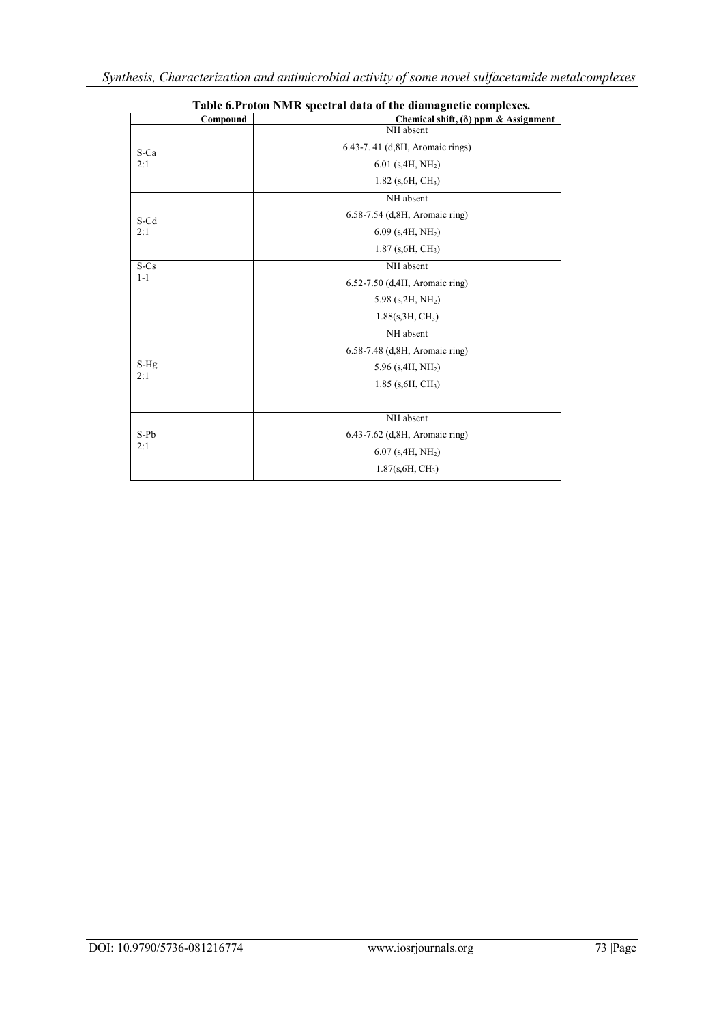| Table 6. Proton NMR spectral data of the diamagnetic complexes. |                                               |  |  |  |
|-----------------------------------------------------------------|-----------------------------------------------|--|--|--|
| Compound                                                        | Chemical shift, ( $\delta$ ) ppm & Assignment |  |  |  |
|                                                                 | NH absent                                     |  |  |  |
| S-Ca                                                            | 6.43-7.41 (d, 8H, Aromaic rings)              |  |  |  |
| 2:1                                                             | $6.01$ (s, 4H, NH <sub>2</sub> )              |  |  |  |
|                                                                 | $1.82$ (s, 6H, CH <sub>3</sub> )              |  |  |  |
|                                                                 | NH absent                                     |  |  |  |
| S-Cd                                                            | 6.58-7.54 (d, 8H, Aromaic ring)               |  |  |  |
| 2:1                                                             | $6.09$ (s, 4H, NH <sub>2</sub> )              |  |  |  |
|                                                                 | $1.87$ (s, 6H, CH <sub>3</sub> )              |  |  |  |
| S-Cs                                                            | NH absent                                     |  |  |  |
| $1 - 1$                                                         | 6.52-7.50 (d, 4H, Aromaic ring)               |  |  |  |
|                                                                 | 5.98 $(s, 2H, NH2)$                           |  |  |  |
|                                                                 | 1.88(s, 3H, CH <sub>3</sub> )                 |  |  |  |
|                                                                 | NH absent                                     |  |  |  |
|                                                                 | 6.58-7.48 (d, 8H, Aromaic ring)               |  |  |  |
| S-Hg                                                            | 5.96 (s, $4H$ , N $H_2$ )                     |  |  |  |
| 2:1                                                             | $1.85$ (s, 6H, CH <sub>3</sub> )              |  |  |  |
|                                                                 |                                               |  |  |  |
|                                                                 | NH absent                                     |  |  |  |
| S-Pb                                                            | 6.43-7.62 (d, 8H, Aromaic ring)               |  |  |  |
| 2:1                                                             | $6.07$ (s, 4H, NH <sub>2</sub> )              |  |  |  |
|                                                                 | 1.87(s, 6H, CH <sub>3</sub> )                 |  |  |  |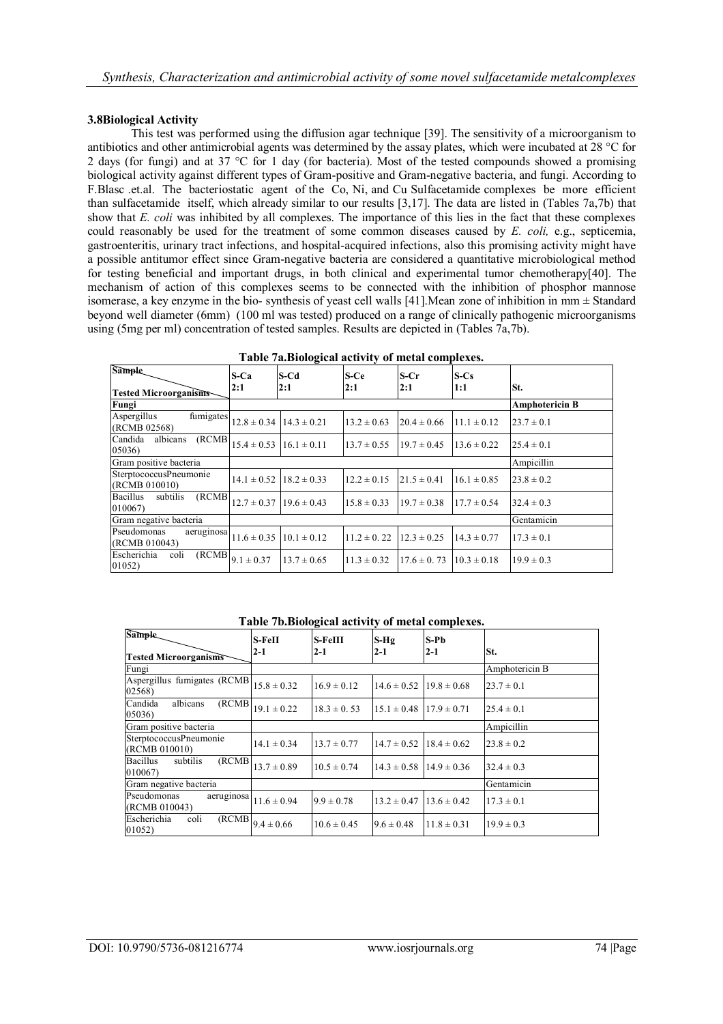#### **3.8Biological Activity**

This test was performed using the diffusion agar technique [39]. The sensitivity of a microorganism to antibiotics and other antimicrobial agents was determined by the assay plates, which were incubated at 28 °C for 2 days (for fungi) and at 37 °C for 1 day (for bacteria). Most of the tested compounds showed a promising biological activity against different types of Gram-positive and Gram-negative bacteria, and fungi. According to F.Blasc .et.al. The bacteriostatic agent of the Co, Ni, and Cu Sulfacetamide complexes be more efficient than sulfacetamide itself, which already similar to our results [3,17]. The data are listed in (Tables 7a,7b) that show that *E. coli* was inhibited by all complexes. The importance of this lies in the fact that these complexes could reasonably be used for the treatment of some common diseases caused by *E. coli,* e.g., septicemia, gastroenteritis, urinary tract infections, and hospital-acquired infections, also this promising activity might have a possible antitumor effect since Gram-negative bacteria are considered a quantitative microbiological method for testing beneficial and important drugs, in both clinical and experimental tumor chemotherapy[40]. The mechanism of action of this complexes seems to be connected with the inhibition of phosphor mannose isomerase, a key enzyme in the bio- synthesis of yeast cell walls [41].Mean zone of inhibition in mm ± Standard beyond well diameter (6mm) (100 ml was tested) produced on a range of clinically pathogenic microorganisms using (5mg per ml) concentration of tested samples. Results are depicted in (Tables 7a,7b).

| Sample<br><b>Tested Microorganisms</b>           | $S-Ca$<br>2:1                            | S-Cd<br>2:1                                | S-Ce<br>2:1     | $S-Cr$<br>2:1   | $S-Cs$<br>1:1   | St.                   |
|--------------------------------------------------|------------------------------------------|--------------------------------------------|-----------------|-----------------|-----------------|-----------------------|
| Fungi                                            |                                          |                                            |                 |                 |                 | <b>Amphotericin B</b> |
| Aspergillus<br>(RCMB 02568)                      | fumigates $12.8 \pm 0.34$                | $14.3 \pm 0.21$                            | $13.2 \pm 0.63$ | $20.4 \pm 0.66$ | $11.1 \pm 0.12$ | $23.7 \pm 0.1$        |
| Candida<br>(RCMB)<br>albicans<br>05036)          | $15.4 \pm 0.53$                          | $16.1 \pm 0.11$                            | $13.7 \pm 0.55$ | $19.7 \pm 0.45$ | $13.6 \pm 0.22$ | $25.4 \pm 0.1$        |
| Gram positive bacteria                           |                                          |                                            |                 |                 |                 | Ampicillin            |
| SterptococcusPneumonie<br>(RCMB 010010)          | $14.1 \pm 0.52$                          | $18.2 \pm 0.33$                            | $12.2 \pm 0.15$ | $21.5 \pm 0.41$ | $16.1 \pm 0.85$ | $23.8 \pm 0.2$        |
| (RCMB)<br><b>Bacillus</b><br>subtilis<br>010067) | $12.7 \pm 0.37$ 19.6 $\pm$ 0.43          |                                            | $15.8 \pm 0.33$ | $19.7 \pm 0.38$ | $17.7 \pm 0.54$ | $32.4 \pm 0.3$        |
| Gram negative bacteria                           |                                          |                                            |                 |                 |                 | Gentamicin            |
| Pseudomonas<br>(RCMB 010043)                     |                                          | aeruginosa $11.6 \pm 0.35$ $10.1 \pm 0.12$ | $11.2 \pm 0.22$ | $12.3 \pm 0.25$ | $14.3 \pm 0.77$ | $17.3 \pm 0.1$        |
| Escherichia<br>coli<br>01052)                    | $\overline{\text{(RCMB)}} _{9.1\pm0.37}$ | $13.7 \pm 0.65$                            | $11.3 \pm 0.32$ | $17.6 \pm 0.73$ | $10.3 \pm 0.18$ | $19.9 \pm 0.3$        |

| Table 7a. Biological activity of metal complexes. |  |  |
|---------------------------------------------------|--|--|
|                                                   |  |  |

#### **Table 7b.Biological activity of metal complexes.**

| Sample.                                         | S-FeII          | S-FeIII         | $S-Hg$          | $S-Pb$          |                |
|-------------------------------------------------|-----------------|-----------------|-----------------|-----------------|----------------|
| <b>Tested Microorganisms</b>                    | $2-1$           | $2-1$           | $2-1$           | $2 - 1$         | St.            |
| Fungi                                           |                 |                 |                 |                 | Amphotericin B |
| Aspergillus fumigates (RCMB<br>02568)           | $15.8 \pm 0.32$ | $16.9 \pm 0.12$ | $14.6 \pm 0.52$ | $19.8 \pm 0.68$ | $23.7 \pm 0.1$ |
| Candida<br>albicans<br>(RCMB)<br>05036)         | $19.1 \pm 0.22$ | $18.3 \pm 0.53$ | $15.1 \pm 0.48$ | $17.9 \pm 0.71$ | $25.4 \pm 0.1$ |
| Gram positive bacteria                          |                 |                 |                 |                 | Ampicillin     |
| SterptococcusPneumonie<br>(RCMB 010010)         | $14.1 \pm 0.34$ | $13.7 \pm 0.77$ | $14.7 \pm 0.52$ | $18.4 \pm 0.62$ | $23.8 \pm 0.2$ |
| <b>Bacillus</b><br>subtilis<br>(RCMB)<br>010067 | $13.7 \pm 0.89$ | $10.5 \pm 0.74$ | $14.3 \pm 0.58$ | $14.9 \pm 0.36$ | $32.4 \pm 0.3$ |
| Gram negative bacteria                          |                 |                 |                 |                 | Gentamicin     |
| aeruginosa<br>Pseudomonas<br>(RCMB 010043)      | $11.6 \pm 0.94$ | $9.9 \pm 0.78$  | $13.2 \pm 0.47$ | $13.6 \pm 0.42$ | $17.3 \pm 0.1$ |
| Escherichia<br>(RCMB)<br>coli<br>01052)         | $9.4 \pm 0.66$  | $10.6 \pm 0.45$ | $9.6 \pm 0.48$  | $11.8 \pm 0.31$ | $19.9 \pm 0.3$ |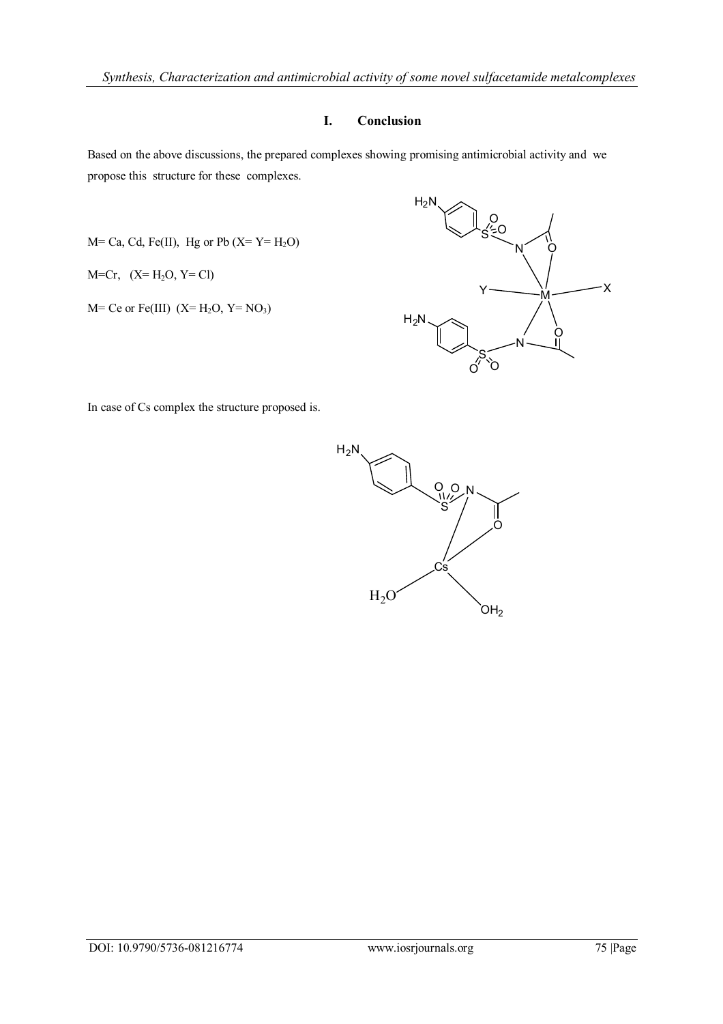# **I. Conclusion**

Based on the above discussions, the prepared complexes showing promising antimicrobial activity and we propose this structure for these complexes.

$$
M = Ca, Cd, Fe(II), Hg or Pb (X = Y = H2O)
$$

$$
M=Cr, (X=H_2O, Y=Cl)
$$

 $M=$  Ce or Fe(III)  $(X= H<sub>2</sub>O, Y= NO<sub>3</sub>)$ 



In case of Cs complex the structure proposed is.